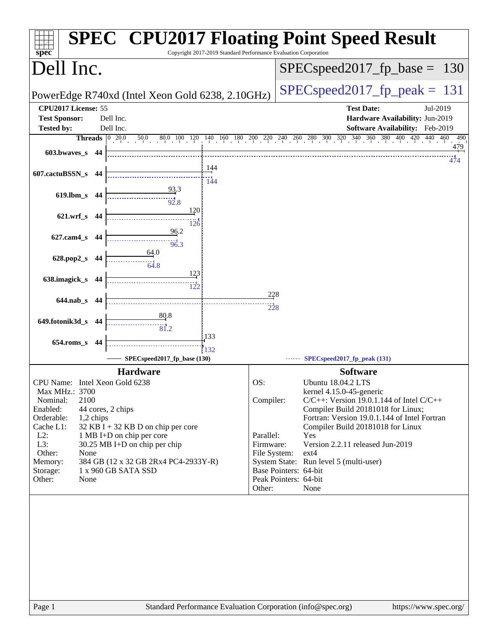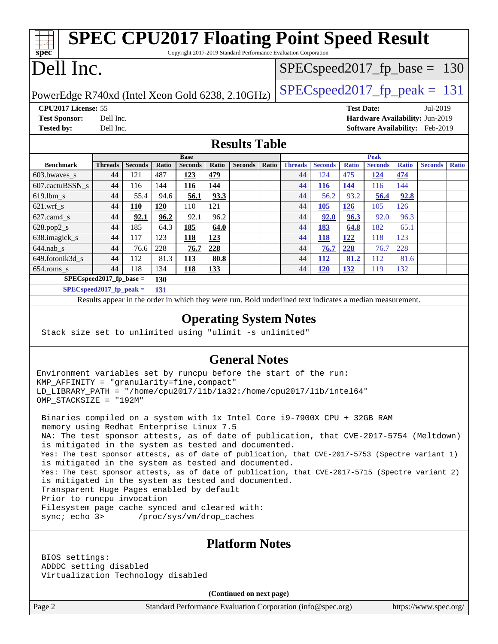| <b>SPEC CPU2017 Floating Point Speed Result</b><br>$spec^*$<br>Copyright 2017-2019 Standard Performance Evaluation Corporation |                                              |                |              |                |                                  |                |       |                |                |              |                |              |                |              |
|--------------------------------------------------------------------------------------------------------------------------------|----------------------------------------------|----------------|--------------|----------------|----------------------------------|----------------|-------|----------------|----------------|--------------|----------------|--------------|----------------|--------------|
| Dell Inc.                                                                                                                      |                                              |                |              |                | $SPEC speed2017_f p\_base = 130$ |                |       |                |                |              |                |              |                |              |
| $SPEC speed2017fp peak = 131$<br>PowerEdge R740xd (Intel Xeon Gold 6238, 2.10GHz)                                              |                                              |                |              |                |                                  |                |       |                |                |              |                |              |                |              |
| CPU2017 License: 55<br><b>Test Date:</b><br>Jul-2019                                                                           |                                              |                |              |                |                                  |                |       |                |                |              |                |              |                |              |
| Dell Inc.<br>Hardware Availability: Jun-2019<br><b>Test Sponsor:</b>                                                           |                                              |                |              |                |                                  |                |       |                |                |              |                |              |                |              |
| <b>Tested by:</b>                                                                                                              | Software Availability: Feb-2019<br>Dell Inc. |                |              |                |                                  |                |       |                |                |              |                |              |                |              |
| <b>Results Table</b>                                                                                                           |                                              |                |              |                |                                  |                |       |                |                |              |                |              |                |              |
|                                                                                                                                | <b>Base</b>                                  |                |              |                | <b>Peak</b>                      |                |       |                |                |              |                |              |                |              |
| <b>Benchmark</b>                                                                                                               | <b>Threads</b>                               | <b>Seconds</b> | <b>Ratio</b> | <b>Seconds</b> | <b>Ratio</b>                     | <b>Seconds</b> | Ratio | <b>Threads</b> | <b>Seconds</b> | <b>Ratio</b> | <b>Seconds</b> | <b>Ratio</b> | <b>Seconds</b> | <b>Ratio</b> |
| 603.bwayes s                                                                                                                   | 44                                           | 121            | 487          | 123            | 479                              |                |       | 44             | 124            | 475          | 124            | 474          |                |              |
| 607.cactuBSSN s                                                                                                                | 44                                           | 116            | 144          | <b>116</b>     | 144                              |                |       | 44             | <b>116</b>     | 144          | 116            | 144          |                |              |
| $619.$ lbm s                                                                                                                   | 44                                           | 55.4           | 94.6         | 56.1           | 93.3                             |                |       | 44             | 56.2           | 93.2         | 56.4           | 92.8         |                |              |
| $621$ .wrf s                                                                                                                   | 44                                           | 110            | <b>120</b>   | 110            | 121                              |                |       | 44             | 105            | 126          | 105            | 126          |                |              |
| $627$ .cam $4$ <sub>s</sub>                                                                                                    | 44                                           | 92.1           | 96.2         | 92.1           | 96.2                             |                |       | 44             | 92.0           | 96.3         | 92.0           | 96.3         |                |              |
| $628.pop2_s$                                                                                                                   | 44                                           | 185            | 64.3         | 185            | 64.0                             |                |       | 44             | 183            | 64.8         | 182            | 65.1         |                |              |
| 638.imagick_s                                                                                                                  | 44                                           | 117            | 123          | 118            | 123                              |                |       | 44             | 118            | 122          | 118            | 123          |                |              |
| $644$ .nab s                                                                                                                   | 44                                           | 76.6           | 228          | 76.7           | 228                              |                |       | 44             | 76.7           | 228          | 76.7           | 228          |                |              |
| 649.fotonik3d_s                                                                                                                | 44                                           | 112            | 81.3         | 113            | 80.8                             |                |       | 44             | 112            | 81.2         | 112            | 81.6         |                |              |

Results appear in the [order in which they were run.](http://www.spec.org/auto/cpu2017/Docs/result-fields.html#RunOrder) Bold underlined text [indicates a median measurement.](http://www.spec.org/auto/cpu2017/Docs/result-fields.html#Median)

**[Operating System Notes](http://www.spec.org/auto/cpu2017/Docs/result-fields.html#OperatingSystemNotes)**

**[General Notes](http://www.spec.org/auto/cpu2017/Docs/result-fields.html#GeneralNotes)**

NA: The test sponsor attests, as of date of publication, that CVE-2017-5754 (Meltdown)

Yes: The test sponsor attests, as of date of publication, that CVE-2017-5753 (Spectre variant 1)

Yes: The test sponsor attests, as of date of publication, that CVE-2017-5715 (Spectre variant 2)

[654.roms\\_s](http://www.spec.org/auto/cpu2017/Docs/benchmarks/654.roms_s.html) 44 118 134 **[118](http://www.spec.org/auto/cpu2017/Docs/result-fields.html#Median) [133](http://www.spec.org/auto/cpu2017/Docs/result-fields.html#Median)** 44 **[120](http://www.spec.org/auto/cpu2017/Docs/result-fields.html#Median) [132](http://www.spec.org/auto/cpu2017/Docs/result-fields.html#Median)** 119 132

Stack size set to unlimited using "ulimit -s unlimited"

is mitigated in the system as tested and documented.

is mitigated in the system as tested and documented.

is mitigated in the system as tested and documented.

Environment variables set by runcpu before the start of the run:

LD\_LIBRARY\_PATH = "/home/cpu2017/lib/ia32:/home/cpu2017/lib/intel64"

Binaries compiled on a system with 1x Intel Core i9-7900X CPU + 32GB RAM

**[SPECspeed2017\\_fp\\_base =](http://www.spec.org/auto/cpu2017/Docs/result-fields.html#SPECspeed2017fpbase) 130 [SPECspeed2017\\_fp\\_peak =](http://www.spec.org/auto/cpu2017/Docs/result-fields.html#SPECspeed2017fppeak) 131**

KMP\_AFFINITY = "granularity=fine,compact"

memory using Redhat Enterprise Linux 7.5

Transparent Huge Pages enabled by default

 Filesystem page cache synced and cleared with: sync; echo 3> /proc/sys/vm/drop\_caches

OMP\_STACKSIZE = "192M"

Prior to runcpu invocation

**(Continued on next page)**

BIOS settings:

ADDDC setting disabled

Virtualization Technology disabled

Page 2 Standard Performance Evaluation Corporation [\(info@spec.org\)](mailto:info@spec.org) <https://www.spec.org/>

**[Platform Notes](http://www.spec.org/auto/cpu2017/Docs/result-fields.html#PlatformNotes)**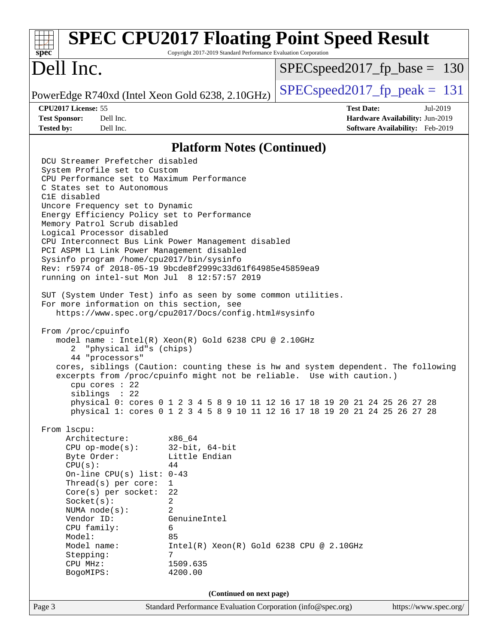#### Page 3 Standard Performance Evaluation Corporation [\(info@spec.org\)](mailto:info@spec.org) <https://www.spec.org/> **[spec](http://www.spec.org/) [SPEC CPU2017 Floating Point Speed Result](http://www.spec.org/auto/cpu2017/Docs/result-fields.html#SPECCPU2017FloatingPointSpeedResult)** Copyright 2017-2019 Standard Performance Evaluation Corporation Dell Inc. PowerEdge R740xd (Intel Xeon Gold 6238, 2.10GHz)  $\left|$  [SPECspeed2017\\_fp\\_peak =](http://www.spec.org/auto/cpu2017/Docs/result-fields.html#SPECspeed2017fppeak) 131 SPECspeed2017 fp base =  $130$ **[CPU2017 License:](http://www.spec.org/auto/cpu2017/Docs/result-fields.html#CPU2017License)** 55 **[Test Date:](http://www.spec.org/auto/cpu2017/Docs/result-fields.html#TestDate)** Jul-2019 **[Test Sponsor:](http://www.spec.org/auto/cpu2017/Docs/result-fields.html#TestSponsor)** Dell Inc. **[Hardware Availability:](http://www.spec.org/auto/cpu2017/Docs/result-fields.html#HardwareAvailability)** Jun-2019 **[Tested by:](http://www.spec.org/auto/cpu2017/Docs/result-fields.html#Testedby)** Dell Inc. **[Software Availability:](http://www.spec.org/auto/cpu2017/Docs/result-fields.html#SoftwareAvailability)** Feb-2019 **[Platform Notes \(Continued\)](http://www.spec.org/auto/cpu2017/Docs/result-fields.html#PlatformNotes)** DCU Streamer Prefetcher disabled System Profile set to Custom CPU Performance set to Maximum Performance C States set to Autonomous C1E disabled Uncore Frequency set to Dynamic Energy Efficiency Policy set to Performance Memory Patrol Scrub disabled Logical Processor disabled CPU Interconnect Bus Link Power Management disabled PCI ASPM L1 Link Power Management disabled Sysinfo program /home/cpu2017/bin/sysinfo Rev: r5974 of 2018-05-19 9bcde8f2999c33d61f64985e45859ea9 running on intel-sut Mon Jul 8 12:57:57 2019 SUT (System Under Test) info as seen by some common utilities. For more information on this section, see <https://www.spec.org/cpu2017/Docs/config.html#sysinfo> From /proc/cpuinfo model name : Intel(R) Xeon(R) Gold 6238 CPU @ 2.10GHz 2 "physical id"s (chips) 44 "processors" cores, siblings (Caution: counting these is hw and system dependent. The following excerpts from /proc/cpuinfo might not be reliable. Use with caution.) cpu cores : 22 siblings : 22 physical 0: cores 0 1 2 3 4 5 8 9 10 11 12 16 17 18 19 20 21 24 25 26 27 28 physical 1: cores 0 1 2 3 4 5 8 9 10 11 12 16 17 18 19 20 21 24 25 26 27 28 From lscpu: Architecture: x86\_64 CPU op-mode(s): 32-bit, 64-bit Byte Order: Little Endian  $CPU(s):$  44 On-line CPU(s) list: 0-43 Thread(s) per core: 1 Core(s) per socket: 22 Socket(s): 2 NUMA node(s): 2 Vendor ID: GenuineIntel CPU family: 6 Model: 85 Model name: Intel(R) Xeon(R) Gold 6238 CPU @ 2.10GHz Stepping: 7 CPU MHz: 1509.635 BogoMIPS: 4200.00 **(Continued on next page)**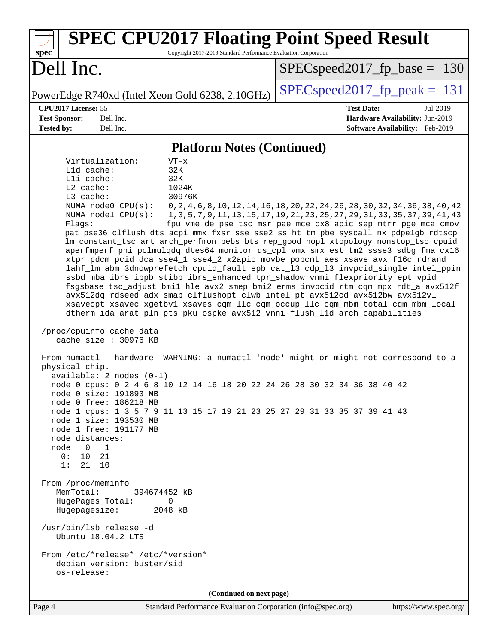| <b>SPEC CPU2017 Floating Point Speed Result</b><br>Copyright 2017-2019 Standard Performance Evaluation Corporation<br>spec <sup>®</sup>                                                                                                                                                                                                                                                                                                                                                                                                                                                                                                                                                                                                                                                                                                                                                                                                                                                                                                                                                                                                                                                                                                                                                                                                                                                                                                                                                                                                                                                                                                                                                                                                                                                                                                                |                                                                                                                                                                                                                                         |
|--------------------------------------------------------------------------------------------------------------------------------------------------------------------------------------------------------------------------------------------------------------------------------------------------------------------------------------------------------------------------------------------------------------------------------------------------------------------------------------------------------------------------------------------------------------------------------------------------------------------------------------------------------------------------------------------------------------------------------------------------------------------------------------------------------------------------------------------------------------------------------------------------------------------------------------------------------------------------------------------------------------------------------------------------------------------------------------------------------------------------------------------------------------------------------------------------------------------------------------------------------------------------------------------------------------------------------------------------------------------------------------------------------------------------------------------------------------------------------------------------------------------------------------------------------------------------------------------------------------------------------------------------------------------------------------------------------------------------------------------------------------------------------------------------------------------------------------------------------|-----------------------------------------------------------------------------------------------------------------------------------------------------------------------------------------------------------------------------------------|
| Dell Inc.                                                                                                                                                                                                                                                                                                                                                                                                                                                                                                                                                                                                                                                                                                                                                                                                                                                                                                                                                                                                                                                                                                                                                                                                                                                                                                                                                                                                                                                                                                                                                                                                                                                                                                                                                                                                                                              | $SPEC speed2017_fp\_base = 130$                                                                                                                                                                                                         |
| PowerEdge R740xd (Intel Xeon Gold 6238, 2.10GHz)                                                                                                                                                                                                                                                                                                                                                                                                                                                                                                                                                                                                                                                                                                                                                                                                                                                                                                                                                                                                                                                                                                                                                                                                                                                                                                                                                                                                                                                                                                                                                                                                                                                                                                                                                                                                       | $SPEC speed2017_fp\_peak = 131$                                                                                                                                                                                                         |
| CPU2017 License: 55<br><b>Test Sponsor:</b><br>Dell Inc.<br><b>Tested by:</b><br>Dell Inc.                                                                                                                                                                                                                                                                                                                                                                                                                                                                                                                                                                                                                                                                                                                                                                                                                                                                                                                                                                                                                                                                                                                                                                                                                                                                                                                                                                                                                                                                                                                                                                                                                                                                                                                                                             | <b>Test Date:</b><br>Jul-2019<br>Hardware Availability: Jun-2019<br>Software Availability: Feb-2019                                                                                                                                     |
| <b>Platform Notes (Continued)</b>                                                                                                                                                                                                                                                                                                                                                                                                                                                                                                                                                                                                                                                                                                                                                                                                                                                                                                                                                                                                                                                                                                                                                                                                                                                                                                                                                                                                                                                                                                                                                                                                                                                                                                                                                                                                                      |                                                                                                                                                                                                                                         |
| Virtualization:<br>$VT - x$<br>Lld cache:<br>32K<br>Lli cache:<br>32K<br>L2 cache:<br>1024K<br>30976K<br>L3 cache:<br>NUMA node0 CPU(s):<br>NUMA nodel CPU(s):<br>Flags:<br>pat pse36 clflush dts acpi mmx fxsr sse sse2 ss ht tm pbe syscall nx pdpe1gb rdtscp<br>lm constant_tsc art arch_perfmon pebs bts rep_good nopl xtopology nonstop_tsc cpuid<br>aperfmperf pni pclmulqdq dtes64 monitor ds_cpl vmx smx est tm2 ssse3 sdbg fma cx16<br>xtpr pdcm pcid dca sse4_1 sse4_2 x2apic movbe popcnt aes xsave avx f16c rdrand<br>lahf_lm abm 3dnowprefetch cpuid_fault epb cat_13 cdp_13 invpcid_single intel_ppin<br>ssbd mba ibrs ibpb stibp ibrs_enhanced tpr_shadow vnmi flexpriority ept vpid<br>fsgsbase tsc_adjust bmil hle avx2 smep bmi2 erms invpcid rtm cqm mpx rdt_a avx512f<br>avx512dq rdseed adx smap clflushopt clwb intel_pt avx512cd avx512bw avx512vl<br>xsaveopt xsavec xgetbvl xsaves cqm_llc cqm_occup_llc cqm_mbm_total cqm_mbm_local<br>dtherm ida arat pln pts pku ospke avx512_vnni flush_lld arch_capabilities<br>/proc/cpuinfo cache data<br>cache size : 30976 KB<br>From numactl --hardware WARNING: a numactl 'node' might or might not correspond to a<br>physical chip.<br>$available: 2 nodes (0-1)$<br>node 0 cpus: 0 2 4 6 8 10 12 14 16 18 20 22 24 26 28 30 32 34 36 38 40 42<br>node 0 size: 191893 MB<br>node 0 free: 186218 MB<br>node 1 cpus: 1 3 5 7 9 11 13 15 17 19 21 23 25 27 29 31 33 35 37 39 41 43<br>node 1 size: 193530 MB<br>node 1 free: 191177 MB<br>node distances:<br>node<br>$\overline{0}$<br>$\mathbf{1}$<br>0:<br>10<br>21<br>1:<br>21<br>10<br>From /proc/meminfo<br>MemTotal:<br>394674452 kB<br>HugePages_Total:<br>0<br>Hugepagesize:<br>2048 kB<br>/usr/bin/lsb_release -d<br>Ubuntu 18.04.2 LTS<br>From /etc/*release* /etc/*version*<br>debian_version: buster/sid<br>os-release: | 0, 2, 4, 6, 8, 10, 12, 14, 16, 18, 20, 22, 24, 26, 28, 30, 32, 34, 36, 38, 40, 42<br>1, 3, 5, 7, 9, 11, 13, 15, 17, 19, 21, 23, 25, 27, 29, 31, 33, 35, 37, 39, 41, 43<br>fpu vme de pse tsc msr pae mce cx8 apic sep mtrr pge mca cmov |
| (Continued on next page)                                                                                                                                                                                                                                                                                                                                                                                                                                                                                                                                                                                                                                                                                                                                                                                                                                                                                                                                                                                                                                                                                                                                                                                                                                                                                                                                                                                                                                                                                                                                                                                                                                                                                                                                                                                                                               |                                                                                                                                                                                                                                         |
| Standard Performance Evaluation Corporation (info@spec.org)<br>Page 4                                                                                                                                                                                                                                                                                                                                                                                                                                                                                                                                                                                                                                                                                                                                                                                                                                                                                                                                                                                                                                                                                                                                                                                                                                                                                                                                                                                                                                                                                                                                                                                                                                                                                                                                                                                  | https://www.spec.org/                                                                                                                                                                                                                   |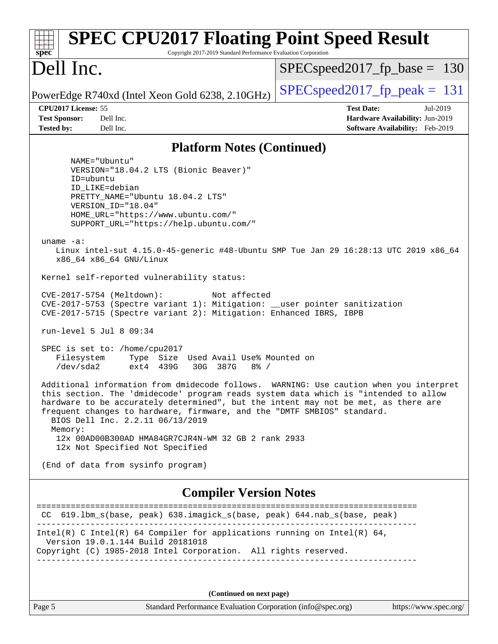| <b>SPEC CPU2017 Floating Point Speed Result</b><br>Copyright 2017-2019 Standard Performance Evaluation Corporation<br>$spec^*$                                                                                                                                                                                                                                                                                                                                                                                                                                                                                                                                                                                                                                                                                                                                                                                                                                                                                                                                                                                                                                                                                                                                                                                                 |                                                                                                     |
|--------------------------------------------------------------------------------------------------------------------------------------------------------------------------------------------------------------------------------------------------------------------------------------------------------------------------------------------------------------------------------------------------------------------------------------------------------------------------------------------------------------------------------------------------------------------------------------------------------------------------------------------------------------------------------------------------------------------------------------------------------------------------------------------------------------------------------------------------------------------------------------------------------------------------------------------------------------------------------------------------------------------------------------------------------------------------------------------------------------------------------------------------------------------------------------------------------------------------------------------------------------------------------------------------------------------------------|-----------------------------------------------------------------------------------------------------|
| Dell Inc.                                                                                                                                                                                                                                                                                                                                                                                                                                                                                                                                                                                                                                                                                                                                                                                                                                                                                                                                                                                                                                                                                                                                                                                                                                                                                                                      | $SPEC speed2017_fp\_base = 130$                                                                     |
| PowerEdge R740xd (Intel Xeon Gold 6238, 2.10GHz)                                                                                                                                                                                                                                                                                                                                                                                                                                                                                                                                                                                                                                                                                                                                                                                                                                                                                                                                                                                                                                                                                                                                                                                                                                                                               | $SPEC speed2017_fp_peak = 131$                                                                      |
| CPU2017 License: 55<br><b>Test Sponsor:</b><br>Dell Inc.<br><b>Tested by:</b><br>Dell Inc.                                                                                                                                                                                                                                                                                                                                                                                                                                                                                                                                                                                                                                                                                                                                                                                                                                                                                                                                                                                                                                                                                                                                                                                                                                     | <b>Test Date:</b><br>Jul-2019<br>Hardware Availability: Jun-2019<br>Software Availability: Feb-2019 |
| <b>Platform Notes (Continued)</b>                                                                                                                                                                                                                                                                                                                                                                                                                                                                                                                                                                                                                                                                                                                                                                                                                                                                                                                                                                                                                                                                                                                                                                                                                                                                                              |                                                                                                     |
| NAME="Ubuntu"<br>VERSION="18.04.2 LTS (Bionic Beaver)"<br>ID=ubuntu<br>ID LIKE=debian<br>PRETTY_NAME="Ubuntu 18.04.2 LTS"<br>VERSION ID="18.04"<br>HOME_URL="https://www.ubuntu.com/"<br>SUPPORT_URL="https://help.ubuntu.com/"<br>uname $-a$ :<br>Linux intel-sut 4.15.0-45-generic #48-Ubuntu SMP Tue Jan 29 16:28:13 UTC 2019 x86_64<br>x86_64 x86_64 GNU/Linux<br>Kernel self-reported vulnerability status:<br>CVE-2017-5754 (Meltdown):<br>Not affected<br>CVE-2017-5753 (Spectre variant 1): Mitigation: __user pointer sanitization<br>CVE-2017-5715 (Spectre variant 2): Mitigation: Enhanced IBRS, IBPB<br>run-level 5 Jul 8 09:34<br>SPEC is set to: /home/cpu2017<br>Filesystem<br>Type Size Used Avail Use% Mounted on<br>/dev/sda2<br>ext4 439G<br>30G 387G<br>$8\frac{3}{2}$ /<br>Additional information from dmidecode follows. WARNING: Use caution when you interpret<br>this section. The 'dmidecode' program reads system data which is "intended to allow<br>hardware to be accurately determined", but the intent may not be met, as there are<br>frequent changes to hardware, firmware, and the "DMTF SMBIOS" standard.<br>BIOS Dell Inc. 2.2.11 06/13/2019<br>Memory:<br>12x 00AD00B300AD HMA84GR7CJR4N-WM 32 GB 2 rank 2933<br>12x Not Specified Not Specified<br>(End of data from sysinfo program) |                                                                                                     |
| <b>Compiler Version Notes</b>                                                                                                                                                                                                                                                                                                                                                                                                                                                                                                                                                                                                                                                                                                                                                                                                                                                                                                                                                                                                                                                                                                                                                                                                                                                                                                  |                                                                                                     |
| CC 619.1bm_s(base, peak) 638.imagick_s(base, peak) 644.nab_s(base, peak)                                                                                                                                                                                                                                                                                                                                                                                                                                                                                                                                                                                                                                                                                                                                                                                                                                                                                                                                                                                                                                                                                                                                                                                                                                                       |                                                                                                     |
| Intel(R) C Intel(R) 64 Compiler for applications running on Intel(R) 64,<br>Version 19.0.1.144 Build 20181018<br>Copyright (C) 1985-2018 Intel Corporation. All rights reserved.                                                                                                                                                                                                                                                                                                                                                                                                                                                                                                                                                                                                                                                                                                                                                                                                                                                                                                                                                                                                                                                                                                                                               |                                                                                                     |
| (Continued on next page)                                                                                                                                                                                                                                                                                                                                                                                                                                                                                                                                                                                                                                                                                                                                                                                                                                                                                                                                                                                                                                                                                                                                                                                                                                                                                                       |                                                                                                     |
| Page 5<br>Standard Performance Evaluation Corporation (info@spec.org)                                                                                                                                                                                                                                                                                                                                                                                                                                                                                                                                                                                                                                                                                                                                                                                                                                                                                                                                                                                                                                                                                                                                                                                                                                                          | https://www.spec.org/                                                                               |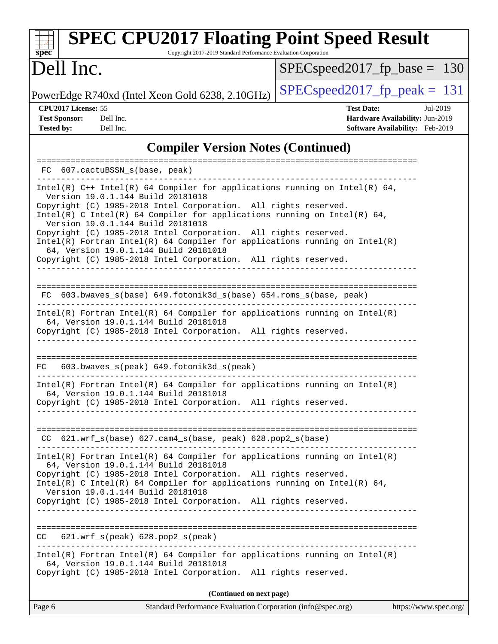#### **[spec](http://www.spec.org/) [SPEC CPU2017 Floating Point Speed Result](http://www.spec.org/auto/cpu2017/Docs/result-fields.html#SPECCPU2017FloatingPointSpeedResult)** Copyright 2017-2019 Standard Performance Evaluation Corporation Dell Inc. [SPECspeed2017\\_fp\\_base =](http://www.spec.org/auto/cpu2017/Docs/result-fields.html#SPECspeed2017fpbase) 130

PowerEdge R740xd (Intel Xeon Gold 6238, 2.10GHz)  $\left|$  [SPECspeed2017\\_fp\\_peak =](http://www.spec.org/auto/cpu2017/Docs/result-fields.html#SPECspeed2017fppeak) 131

**[CPU2017 License:](http://www.spec.org/auto/cpu2017/Docs/result-fields.html#CPU2017License)** 55 **[Test Date:](http://www.spec.org/auto/cpu2017/Docs/result-fields.html#TestDate)** Jul-2019 **[Test Sponsor:](http://www.spec.org/auto/cpu2017/Docs/result-fields.html#TestSponsor)** Dell Inc. **[Hardware Availability:](http://www.spec.org/auto/cpu2017/Docs/result-fields.html#HardwareAvailability)** Jun-2019 **[Tested by:](http://www.spec.org/auto/cpu2017/Docs/result-fields.html#Testedby)** Dell Inc. **[Software Availability:](http://www.spec.org/auto/cpu2017/Docs/result-fields.html#SoftwareAvailability)** Feb-2019

#### **[Compiler Version Notes \(Continued\)](http://www.spec.org/auto/cpu2017/Docs/result-fields.html#CompilerVersionNotes)**

| Page 6                            | Standard Performance Evaluation Corporation (info@spec.org)<br>https://www.spec.org/                                                                                                     |
|-----------------------------------|------------------------------------------------------------------------------------------------------------------------------------------------------------------------------------------|
|                                   | (Continued on next page)                                                                                                                                                                 |
|                                   | $Intel(R)$ Fortran Intel(R) 64 Compiler for applications running on Intel(R)<br>64, Version 19.0.1.144 Build 20181018<br>Copyright (C) 1985-2018 Intel Corporation. All rights reserved. |
| CC                                | $621.wrf_s(peak)$ $628.pop2_s(peak)$                                                                                                                                                     |
|                                   | Copyright (C) 1985-2018 Intel Corporation. All rights reserved.                                                                                                                          |
| Version 19.0.1.144 Build 20181018 | Copyright (C) 1985-2018 Intel Corporation. All rights reserved.<br>Intel(R) C Intel(R) 64 Compiler for applications running on Intel(R) 64,                                              |
|                                   | $Intel(R)$ Fortran Intel(R) 64 Compiler for applications running on Intel(R)<br>64, Version 19.0.1.144 Build 20181018                                                                    |
|                                   | CC 621.wrf_s(base) 627.cam4_s(base, peak) 628.pop2_s(base)                                                                                                                               |
|                                   | $Intel(R)$ Fortran Intel(R) 64 Compiler for applications running on Intel(R)<br>64, Version 19.0.1.144 Build 20181018<br>Copyright (C) 1985-2018 Intel Corporation. All rights reserved. |
| FC                                | 603.bwaves_s(peak) 649.fotonik3d_s(peak)                                                                                                                                                 |
|                                   | Copyright (C) 1985-2018 Intel Corporation. All rights reserved.                                                                                                                          |
|                                   | $Intel(R)$ Fortran Intel(R) 64 Compiler for applications running on Intel(R)<br>64, Version 19.0.1.144 Build 20181018                                                                    |
|                                   | FC 603.bwaves_s(base) 649.fotonik3d_s(base) 654.roms_s(base, peak)                                                                                                                       |
|                                   | 64, Version 19.0.1.144 Build 20181018<br>Copyright (C) 1985-2018 Intel Corporation. All rights reserved.                                                                                 |
| Version 19.0.1.144 Build 20181018 | Copyright (C) 1985-2018 Intel Corporation. All rights reserved.<br>$Intel(R)$ Fortran Intel(R) 64 Compiler for applications running on Intel(R)                                          |
| Version 19.0.1.144 Build 20181018 | Copyright (C) 1985-2018 Intel Corporation. All rights reserved.<br>Intel(R) C Intel(R) 64 Compiler for applications running on Intel(R) 64,                                              |
|                                   | Intel(R) $C++$ Intel(R) 64 Compiler for applications running on Intel(R) 64,                                                                                                             |
| FC 607.cactuBSSN_s(base, peak)    |                                                                                                                                                                                          |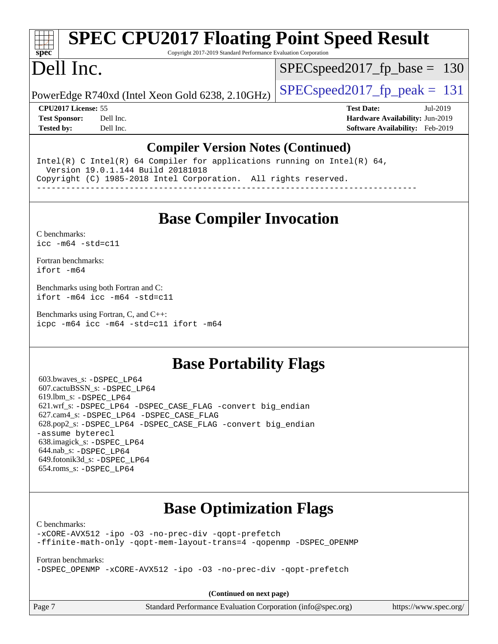# **[SPEC CPU2017 Floating Point Speed Result](http://www.spec.org/auto/cpu2017/Docs/result-fields.html#SPECCPU2017FloatingPointSpeedResult)**

Copyright 2017-2019 Standard Performance Evaluation Corporation

# Dell Inc.

**[spec](http://www.spec.org/)**

SPECspeed2017 fp base =  $130$ 

PowerEdge R740xd (Intel Xeon Gold 6238, 2.10GHz)  $\left|$  [SPECspeed2017\\_fp\\_peak =](http://www.spec.org/auto/cpu2017/Docs/result-fields.html#SPECspeed2017fppeak) 131

**[CPU2017 License:](http://www.spec.org/auto/cpu2017/Docs/result-fields.html#CPU2017License)** 55 **[Test Date:](http://www.spec.org/auto/cpu2017/Docs/result-fields.html#TestDate)** Jul-2019 **[Test Sponsor:](http://www.spec.org/auto/cpu2017/Docs/result-fields.html#TestSponsor)** Dell Inc. **[Hardware Availability:](http://www.spec.org/auto/cpu2017/Docs/result-fields.html#HardwareAvailability)** Jun-2019 **[Tested by:](http://www.spec.org/auto/cpu2017/Docs/result-fields.html#Testedby)** Dell Inc. **[Software Availability:](http://www.spec.org/auto/cpu2017/Docs/result-fields.html#SoftwareAvailability)** Feb-2019

#### **[Compiler Version Notes \(Continued\)](http://www.spec.org/auto/cpu2017/Docs/result-fields.html#CompilerVersionNotes)**

Intel(R) C Intel(R) 64 Compiler for applications running on Intel(R)  $64$ , Version 19.0.1.144 Build 20181018 Copyright (C) 1985-2018 Intel Corporation. All rights reserved. ------------------------------------------------------------------------------

**[Base Compiler Invocation](http://www.spec.org/auto/cpu2017/Docs/result-fields.html#BaseCompilerInvocation)**

[C benchmarks](http://www.spec.org/auto/cpu2017/Docs/result-fields.html#Cbenchmarks): [icc -m64 -std=c11](http://www.spec.org/cpu2017/results/res2019q3/cpu2017-20190805-16526.flags.html#user_CCbase_intel_icc_64bit_c11_33ee0cdaae7deeeab2a9725423ba97205ce30f63b9926c2519791662299b76a0318f32ddfffdc46587804de3178b4f9328c46fa7c2b0cd779d7a61945c91cd35)

[Fortran benchmarks](http://www.spec.org/auto/cpu2017/Docs/result-fields.html#Fortranbenchmarks): [ifort -m64](http://www.spec.org/cpu2017/results/res2019q3/cpu2017-20190805-16526.flags.html#user_FCbase_intel_ifort_64bit_24f2bb282fbaeffd6157abe4f878425411749daecae9a33200eee2bee2fe76f3b89351d69a8130dd5949958ce389cf37ff59a95e7a40d588e8d3a57e0c3fd751)

[Benchmarks using both Fortran and C](http://www.spec.org/auto/cpu2017/Docs/result-fields.html#BenchmarksusingbothFortranandC): [ifort -m64](http://www.spec.org/cpu2017/results/res2019q3/cpu2017-20190805-16526.flags.html#user_CC_FCbase_intel_ifort_64bit_24f2bb282fbaeffd6157abe4f878425411749daecae9a33200eee2bee2fe76f3b89351d69a8130dd5949958ce389cf37ff59a95e7a40d588e8d3a57e0c3fd751) [icc -m64 -std=c11](http://www.spec.org/cpu2017/results/res2019q3/cpu2017-20190805-16526.flags.html#user_CC_FCbase_intel_icc_64bit_c11_33ee0cdaae7deeeab2a9725423ba97205ce30f63b9926c2519791662299b76a0318f32ddfffdc46587804de3178b4f9328c46fa7c2b0cd779d7a61945c91cd35)

[Benchmarks using Fortran, C, and C++:](http://www.spec.org/auto/cpu2017/Docs/result-fields.html#BenchmarksusingFortranCandCXX) [icpc -m64](http://www.spec.org/cpu2017/results/res2019q3/cpu2017-20190805-16526.flags.html#user_CC_CXX_FCbase_intel_icpc_64bit_4ecb2543ae3f1412ef961e0650ca070fec7b7afdcd6ed48761b84423119d1bf6bdf5cad15b44d48e7256388bc77273b966e5eb805aefd121eb22e9299b2ec9d9) [icc -m64 -std=c11](http://www.spec.org/cpu2017/results/res2019q3/cpu2017-20190805-16526.flags.html#user_CC_CXX_FCbase_intel_icc_64bit_c11_33ee0cdaae7deeeab2a9725423ba97205ce30f63b9926c2519791662299b76a0318f32ddfffdc46587804de3178b4f9328c46fa7c2b0cd779d7a61945c91cd35) [ifort -m64](http://www.spec.org/cpu2017/results/res2019q3/cpu2017-20190805-16526.flags.html#user_CC_CXX_FCbase_intel_ifort_64bit_24f2bb282fbaeffd6157abe4f878425411749daecae9a33200eee2bee2fe76f3b89351d69a8130dd5949958ce389cf37ff59a95e7a40d588e8d3a57e0c3fd751)

#### **[Base Portability Flags](http://www.spec.org/auto/cpu2017/Docs/result-fields.html#BasePortabilityFlags)**

 603.bwaves\_s: [-DSPEC\\_LP64](http://www.spec.org/cpu2017/results/res2019q3/cpu2017-20190805-16526.flags.html#suite_basePORTABILITY603_bwaves_s_DSPEC_LP64) 607.cactuBSSN\_s: [-DSPEC\\_LP64](http://www.spec.org/cpu2017/results/res2019q3/cpu2017-20190805-16526.flags.html#suite_basePORTABILITY607_cactuBSSN_s_DSPEC_LP64) 619.lbm\_s: [-DSPEC\\_LP64](http://www.spec.org/cpu2017/results/res2019q3/cpu2017-20190805-16526.flags.html#suite_basePORTABILITY619_lbm_s_DSPEC_LP64) 621.wrf\_s: [-DSPEC\\_LP64](http://www.spec.org/cpu2017/results/res2019q3/cpu2017-20190805-16526.flags.html#suite_basePORTABILITY621_wrf_s_DSPEC_LP64) [-DSPEC\\_CASE\\_FLAG](http://www.spec.org/cpu2017/results/res2019q3/cpu2017-20190805-16526.flags.html#b621.wrf_s_baseCPORTABILITY_DSPEC_CASE_FLAG) [-convert big\\_endian](http://www.spec.org/cpu2017/results/res2019q3/cpu2017-20190805-16526.flags.html#user_baseFPORTABILITY621_wrf_s_convert_big_endian_c3194028bc08c63ac5d04de18c48ce6d347e4e562e8892b8bdbdc0214820426deb8554edfa529a3fb25a586e65a3d812c835984020483e7e73212c4d31a38223) 627.cam4\_s: [-DSPEC\\_LP64](http://www.spec.org/cpu2017/results/res2019q3/cpu2017-20190805-16526.flags.html#suite_basePORTABILITY627_cam4_s_DSPEC_LP64) [-DSPEC\\_CASE\\_FLAG](http://www.spec.org/cpu2017/results/res2019q3/cpu2017-20190805-16526.flags.html#b627.cam4_s_baseCPORTABILITY_DSPEC_CASE_FLAG) 628.pop2\_s: [-DSPEC\\_LP64](http://www.spec.org/cpu2017/results/res2019q3/cpu2017-20190805-16526.flags.html#suite_basePORTABILITY628_pop2_s_DSPEC_LP64) [-DSPEC\\_CASE\\_FLAG](http://www.spec.org/cpu2017/results/res2019q3/cpu2017-20190805-16526.flags.html#b628.pop2_s_baseCPORTABILITY_DSPEC_CASE_FLAG) [-convert big\\_endian](http://www.spec.org/cpu2017/results/res2019q3/cpu2017-20190805-16526.flags.html#user_baseFPORTABILITY628_pop2_s_convert_big_endian_c3194028bc08c63ac5d04de18c48ce6d347e4e562e8892b8bdbdc0214820426deb8554edfa529a3fb25a586e65a3d812c835984020483e7e73212c4d31a38223) [-assume byterecl](http://www.spec.org/cpu2017/results/res2019q3/cpu2017-20190805-16526.flags.html#user_baseFPORTABILITY628_pop2_s_assume_byterecl_7e47d18b9513cf18525430bbf0f2177aa9bf368bc7a059c09b2c06a34b53bd3447c950d3f8d6c70e3faf3a05c8557d66a5798b567902e8849adc142926523472) 638.imagick\_s: [-DSPEC\\_LP64](http://www.spec.org/cpu2017/results/res2019q3/cpu2017-20190805-16526.flags.html#suite_basePORTABILITY638_imagick_s_DSPEC_LP64) 644.nab\_s: [-DSPEC\\_LP64](http://www.spec.org/cpu2017/results/res2019q3/cpu2017-20190805-16526.flags.html#suite_basePORTABILITY644_nab_s_DSPEC_LP64) 649.fotonik3d\_s: [-DSPEC\\_LP64](http://www.spec.org/cpu2017/results/res2019q3/cpu2017-20190805-16526.flags.html#suite_basePORTABILITY649_fotonik3d_s_DSPEC_LP64) 654.roms\_s: [-DSPEC\\_LP64](http://www.spec.org/cpu2017/results/res2019q3/cpu2017-20190805-16526.flags.html#suite_basePORTABILITY654_roms_s_DSPEC_LP64)

### **[Base Optimization Flags](http://www.spec.org/auto/cpu2017/Docs/result-fields.html#BaseOptimizationFlags)**

[C benchmarks](http://www.spec.org/auto/cpu2017/Docs/result-fields.html#Cbenchmarks):

[-xCORE-AVX512](http://www.spec.org/cpu2017/results/res2019q3/cpu2017-20190805-16526.flags.html#user_CCbase_f-xCORE-AVX512) [-ipo](http://www.spec.org/cpu2017/results/res2019q3/cpu2017-20190805-16526.flags.html#user_CCbase_f-ipo) [-O3](http://www.spec.org/cpu2017/results/res2019q3/cpu2017-20190805-16526.flags.html#user_CCbase_f-O3) [-no-prec-div](http://www.spec.org/cpu2017/results/res2019q3/cpu2017-20190805-16526.flags.html#user_CCbase_f-no-prec-div) [-qopt-prefetch](http://www.spec.org/cpu2017/results/res2019q3/cpu2017-20190805-16526.flags.html#user_CCbase_f-qopt-prefetch) [-ffinite-math-only](http://www.spec.org/cpu2017/results/res2019q3/cpu2017-20190805-16526.flags.html#user_CCbase_f_finite_math_only_cb91587bd2077682c4b38af759c288ed7c732db004271a9512da14a4f8007909a5f1427ecbf1a0fb78ff2a814402c6114ac565ca162485bbcae155b5e4258871) [-qopt-mem-layout-trans=4](http://www.spec.org/cpu2017/results/res2019q3/cpu2017-20190805-16526.flags.html#user_CCbase_f-qopt-mem-layout-trans_fa39e755916c150a61361b7846f310bcdf6f04e385ef281cadf3647acec3f0ae266d1a1d22d972a7087a248fd4e6ca390a3634700869573d231a252c784941a8) [-qopenmp](http://www.spec.org/cpu2017/results/res2019q3/cpu2017-20190805-16526.flags.html#user_CCbase_qopenmp_16be0c44f24f464004c6784a7acb94aca937f053568ce72f94b139a11c7c168634a55f6653758ddd83bcf7b8463e8028bb0b48b77bcddc6b78d5d95bb1df2967) [-DSPEC\\_OPENMP](http://www.spec.org/cpu2017/results/res2019q3/cpu2017-20190805-16526.flags.html#suite_CCbase_DSPEC_OPENMP)

[Fortran benchmarks](http://www.spec.org/auto/cpu2017/Docs/result-fields.html#Fortranbenchmarks):

[-DSPEC\\_OPENMP](http://www.spec.org/cpu2017/results/res2019q3/cpu2017-20190805-16526.flags.html#suite_FCbase_DSPEC_OPENMP) [-xCORE-AVX512](http://www.spec.org/cpu2017/results/res2019q3/cpu2017-20190805-16526.flags.html#user_FCbase_f-xCORE-AVX512) [-ipo](http://www.spec.org/cpu2017/results/res2019q3/cpu2017-20190805-16526.flags.html#user_FCbase_f-ipo) [-O3](http://www.spec.org/cpu2017/results/res2019q3/cpu2017-20190805-16526.flags.html#user_FCbase_f-O3) [-no-prec-div](http://www.spec.org/cpu2017/results/res2019q3/cpu2017-20190805-16526.flags.html#user_FCbase_f-no-prec-div) [-qopt-prefetch](http://www.spec.org/cpu2017/results/res2019q3/cpu2017-20190805-16526.flags.html#user_FCbase_f-qopt-prefetch)

**(Continued on next page)**

Page 7 Standard Performance Evaluation Corporation [\(info@spec.org\)](mailto:info@spec.org) <https://www.spec.org/>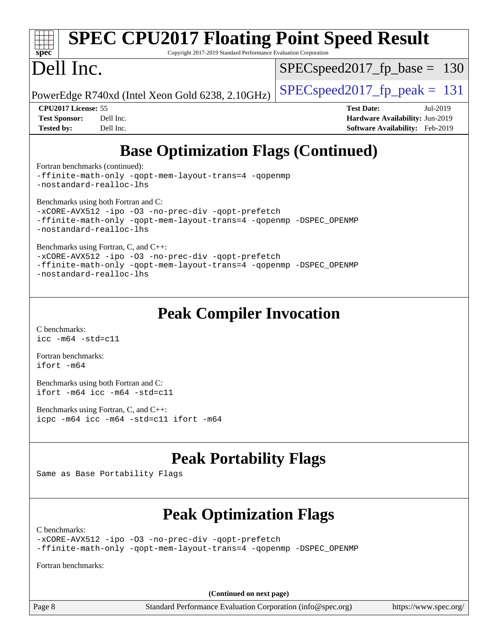# **[spec](http://www.spec.org/)**

# **[SPEC CPU2017 Floating Point Speed Result](http://www.spec.org/auto/cpu2017/Docs/result-fields.html#SPECCPU2017FloatingPointSpeedResult)**

Copyright 2017-2019 Standard Performance Evaluation Corporation

## Dell Inc.

SPECspeed2017 fp base =  $130$ 

PowerEdge R740xd (Intel Xeon Gold 6238, 2.10GHz)  $\left|$  [SPECspeed2017\\_fp\\_peak =](http://www.spec.org/auto/cpu2017/Docs/result-fields.html#SPECspeed2017fppeak) 131

**[CPU2017 License:](http://www.spec.org/auto/cpu2017/Docs/result-fields.html#CPU2017License)** 55 **[Test Date:](http://www.spec.org/auto/cpu2017/Docs/result-fields.html#TestDate)** Jul-2019 **[Test Sponsor:](http://www.spec.org/auto/cpu2017/Docs/result-fields.html#TestSponsor)** Dell Inc. **[Hardware Availability:](http://www.spec.org/auto/cpu2017/Docs/result-fields.html#HardwareAvailability)** Jun-2019 **[Tested by:](http://www.spec.org/auto/cpu2017/Docs/result-fields.html#Testedby)** Dell Inc. **[Software Availability:](http://www.spec.org/auto/cpu2017/Docs/result-fields.html#SoftwareAvailability)** Feb-2019

## **[Base Optimization Flags \(Continued\)](http://www.spec.org/auto/cpu2017/Docs/result-fields.html#BaseOptimizationFlags)**

[Fortran benchmarks](http://www.spec.org/auto/cpu2017/Docs/result-fields.html#Fortranbenchmarks) (continued):

[-ffinite-math-only](http://www.spec.org/cpu2017/results/res2019q3/cpu2017-20190805-16526.flags.html#user_FCbase_f_finite_math_only_cb91587bd2077682c4b38af759c288ed7c732db004271a9512da14a4f8007909a5f1427ecbf1a0fb78ff2a814402c6114ac565ca162485bbcae155b5e4258871) [-qopt-mem-layout-trans=4](http://www.spec.org/cpu2017/results/res2019q3/cpu2017-20190805-16526.flags.html#user_FCbase_f-qopt-mem-layout-trans_fa39e755916c150a61361b7846f310bcdf6f04e385ef281cadf3647acec3f0ae266d1a1d22d972a7087a248fd4e6ca390a3634700869573d231a252c784941a8) [-qopenmp](http://www.spec.org/cpu2017/results/res2019q3/cpu2017-20190805-16526.flags.html#user_FCbase_qopenmp_16be0c44f24f464004c6784a7acb94aca937f053568ce72f94b139a11c7c168634a55f6653758ddd83bcf7b8463e8028bb0b48b77bcddc6b78d5d95bb1df2967) [-nostandard-realloc-lhs](http://www.spec.org/cpu2017/results/res2019q3/cpu2017-20190805-16526.flags.html#user_FCbase_f_2003_std_realloc_82b4557e90729c0f113870c07e44d33d6f5a304b4f63d4c15d2d0f1fab99f5daaed73bdb9275d9ae411527f28b936061aa8b9c8f2d63842963b95c9dd6426b8a)

[Benchmarks using both Fortran and C](http://www.spec.org/auto/cpu2017/Docs/result-fields.html#BenchmarksusingbothFortranandC):

```
-xCORE-AVX512-ipo-no-prec-div-qopt-prefetch
-ffinite-math-only -qopt-mem-layout-trans=4 -qopenmp -DSPEC_OPENMP
-nostandard-realloc-lhs
```
[Benchmarks using Fortran, C, and C++:](http://www.spec.org/auto/cpu2017/Docs/result-fields.html#BenchmarksusingFortranCandCXX)

[-xCORE-AVX512](http://www.spec.org/cpu2017/results/res2019q3/cpu2017-20190805-16526.flags.html#user_CC_CXX_FCbase_f-xCORE-AVX512) [-ipo](http://www.spec.org/cpu2017/results/res2019q3/cpu2017-20190805-16526.flags.html#user_CC_CXX_FCbase_f-ipo) [-O3](http://www.spec.org/cpu2017/results/res2019q3/cpu2017-20190805-16526.flags.html#user_CC_CXX_FCbase_f-O3) [-no-prec-div](http://www.spec.org/cpu2017/results/res2019q3/cpu2017-20190805-16526.flags.html#user_CC_CXX_FCbase_f-no-prec-div) [-qopt-prefetch](http://www.spec.org/cpu2017/results/res2019q3/cpu2017-20190805-16526.flags.html#user_CC_CXX_FCbase_f-qopt-prefetch) [-ffinite-math-only](http://www.spec.org/cpu2017/results/res2019q3/cpu2017-20190805-16526.flags.html#user_CC_CXX_FCbase_f_finite_math_only_cb91587bd2077682c4b38af759c288ed7c732db004271a9512da14a4f8007909a5f1427ecbf1a0fb78ff2a814402c6114ac565ca162485bbcae155b5e4258871) [-qopt-mem-layout-trans=4](http://www.spec.org/cpu2017/results/res2019q3/cpu2017-20190805-16526.flags.html#user_CC_CXX_FCbase_f-qopt-mem-layout-trans_fa39e755916c150a61361b7846f310bcdf6f04e385ef281cadf3647acec3f0ae266d1a1d22d972a7087a248fd4e6ca390a3634700869573d231a252c784941a8) [-qopenmp](http://www.spec.org/cpu2017/results/res2019q3/cpu2017-20190805-16526.flags.html#user_CC_CXX_FCbase_qopenmp_16be0c44f24f464004c6784a7acb94aca937f053568ce72f94b139a11c7c168634a55f6653758ddd83bcf7b8463e8028bb0b48b77bcddc6b78d5d95bb1df2967) [-DSPEC\\_OPENMP](http://www.spec.org/cpu2017/results/res2019q3/cpu2017-20190805-16526.flags.html#suite_CC_CXX_FCbase_DSPEC_OPENMP) [-nostandard-realloc-lhs](http://www.spec.org/cpu2017/results/res2019q3/cpu2017-20190805-16526.flags.html#user_CC_CXX_FCbase_f_2003_std_realloc_82b4557e90729c0f113870c07e44d33d6f5a304b4f63d4c15d2d0f1fab99f5daaed73bdb9275d9ae411527f28b936061aa8b9c8f2d63842963b95c9dd6426b8a)

#### **[Peak Compiler Invocation](http://www.spec.org/auto/cpu2017/Docs/result-fields.html#PeakCompilerInvocation)**

[C benchmarks](http://www.spec.org/auto/cpu2017/Docs/result-fields.html#Cbenchmarks): [icc -m64 -std=c11](http://www.spec.org/cpu2017/results/res2019q3/cpu2017-20190805-16526.flags.html#user_CCpeak_intel_icc_64bit_c11_33ee0cdaae7deeeab2a9725423ba97205ce30f63b9926c2519791662299b76a0318f32ddfffdc46587804de3178b4f9328c46fa7c2b0cd779d7a61945c91cd35)

[Fortran benchmarks](http://www.spec.org/auto/cpu2017/Docs/result-fields.html#Fortranbenchmarks): [ifort -m64](http://www.spec.org/cpu2017/results/res2019q3/cpu2017-20190805-16526.flags.html#user_FCpeak_intel_ifort_64bit_24f2bb282fbaeffd6157abe4f878425411749daecae9a33200eee2bee2fe76f3b89351d69a8130dd5949958ce389cf37ff59a95e7a40d588e8d3a57e0c3fd751)

[Benchmarks using both Fortran and C](http://www.spec.org/auto/cpu2017/Docs/result-fields.html#BenchmarksusingbothFortranandC): [ifort -m64](http://www.spec.org/cpu2017/results/res2019q3/cpu2017-20190805-16526.flags.html#user_CC_FCpeak_intel_ifort_64bit_24f2bb282fbaeffd6157abe4f878425411749daecae9a33200eee2bee2fe76f3b89351d69a8130dd5949958ce389cf37ff59a95e7a40d588e8d3a57e0c3fd751) [icc -m64 -std=c11](http://www.spec.org/cpu2017/results/res2019q3/cpu2017-20190805-16526.flags.html#user_CC_FCpeak_intel_icc_64bit_c11_33ee0cdaae7deeeab2a9725423ba97205ce30f63b9926c2519791662299b76a0318f32ddfffdc46587804de3178b4f9328c46fa7c2b0cd779d7a61945c91cd35)

[Benchmarks using Fortran, C, and C++:](http://www.spec.org/auto/cpu2017/Docs/result-fields.html#BenchmarksusingFortranCandCXX) [icpc -m64](http://www.spec.org/cpu2017/results/res2019q3/cpu2017-20190805-16526.flags.html#user_CC_CXX_FCpeak_intel_icpc_64bit_4ecb2543ae3f1412ef961e0650ca070fec7b7afdcd6ed48761b84423119d1bf6bdf5cad15b44d48e7256388bc77273b966e5eb805aefd121eb22e9299b2ec9d9) [icc -m64 -std=c11](http://www.spec.org/cpu2017/results/res2019q3/cpu2017-20190805-16526.flags.html#user_CC_CXX_FCpeak_intel_icc_64bit_c11_33ee0cdaae7deeeab2a9725423ba97205ce30f63b9926c2519791662299b76a0318f32ddfffdc46587804de3178b4f9328c46fa7c2b0cd779d7a61945c91cd35) [ifort -m64](http://www.spec.org/cpu2017/results/res2019q3/cpu2017-20190805-16526.flags.html#user_CC_CXX_FCpeak_intel_ifort_64bit_24f2bb282fbaeffd6157abe4f878425411749daecae9a33200eee2bee2fe76f3b89351d69a8130dd5949958ce389cf37ff59a95e7a40d588e8d3a57e0c3fd751)

### **[Peak Portability Flags](http://www.spec.org/auto/cpu2017/Docs/result-fields.html#PeakPortabilityFlags)**

Same as Base Portability Flags

### **[Peak Optimization Flags](http://www.spec.org/auto/cpu2017/Docs/result-fields.html#PeakOptimizationFlags)**

[C benchmarks](http://www.spec.org/auto/cpu2017/Docs/result-fields.html#Cbenchmarks):

[-xCORE-AVX512](http://www.spec.org/cpu2017/results/res2019q3/cpu2017-20190805-16526.flags.html#user_CCpeak_f-xCORE-AVX512) [-ipo](http://www.spec.org/cpu2017/results/res2019q3/cpu2017-20190805-16526.flags.html#user_CCpeak_f-ipo) [-O3](http://www.spec.org/cpu2017/results/res2019q3/cpu2017-20190805-16526.flags.html#user_CCpeak_f-O3) [-no-prec-div](http://www.spec.org/cpu2017/results/res2019q3/cpu2017-20190805-16526.flags.html#user_CCpeak_f-no-prec-div) [-qopt-prefetch](http://www.spec.org/cpu2017/results/res2019q3/cpu2017-20190805-16526.flags.html#user_CCpeak_f-qopt-prefetch) [-ffinite-math-only](http://www.spec.org/cpu2017/results/res2019q3/cpu2017-20190805-16526.flags.html#user_CCpeak_f_finite_math_only_cb91587bd2077682c4b38af759c288ed7c732db004271a9512da14a4f8007909a5f1427ecbf1a0fb78ff2a814402c6114ac565ca162485bbcae155b5e4258871) [-qopt-mem-layout-trans=4](http://www.spec.org/cpu2017/results/res2019q3/cpu2017-20190805-16526.flags.html#user_CCpeak_f-qopt-mem-layout-trans_fa39e755916c150a61361b7846f310bcdf6f04e385ef281cadf3647acec3f0ae266d1a1d22d972a7087a248fd4e6ca390a3634700869573d231a252c784941a8) [-qopenmp](http://www.spec.org/cpu2017/results/res2019q3/cpu2017-20190805-16526.flags.html#user_CCpeak_qopenmp_16be0c44f24f464004c6784a7acb94aca937f053568ce72f94b139a11c7c168634a55f6653758ddd83bcf7b8463e8028bb0b48b77bcddc6b78d5d95bb1df2967) [-DSPEC\\_OPENMP](http://www.spec.org/cpu2017/results/res2019q3/cpu2017-20190805-16526.flags.html#suite_CCpeak_DSPEC_OPENMP)

[Fortran benchmarks](http://www.spec.org/auto/cpu2017/Docs/result-fields.html#Fortranbenchmarks):

**(Continued on next page)**

Page 8 Standard Performance Evaluation Corporation [\(info@spec.org\)](mailto:info@spec.org) <https://www.spec.org/>